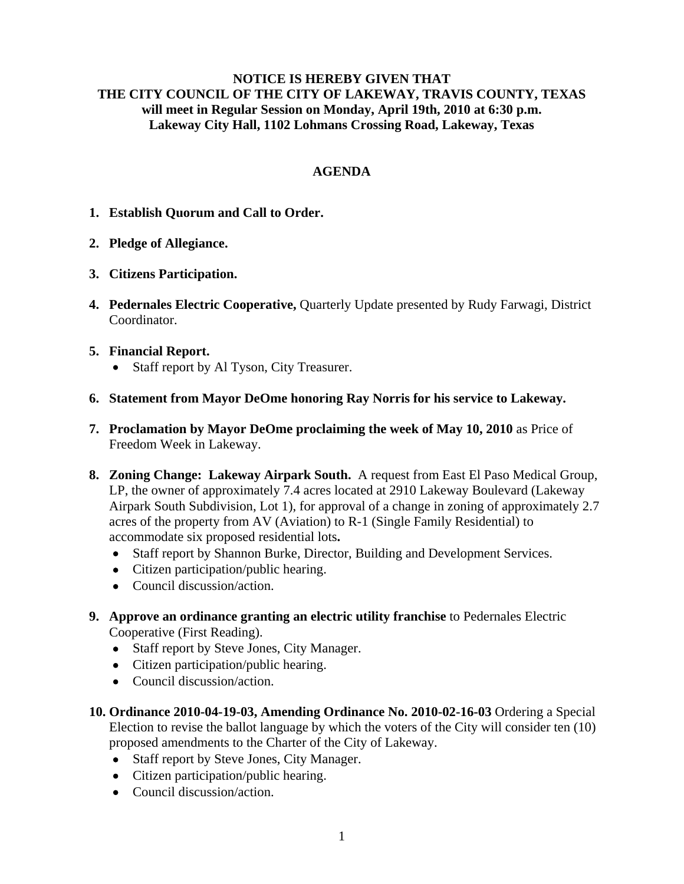## **NOTICE IS HEREBY GIVEN THAT THE CITY COUNCIL OF THE CITY OF LAKEWAY, TRAVIS COUNTY, TEXAS will meet in Regular Session on Monday, April 19th, 2010 at 6:30 p.m. Lakeway City Hall, 1102 Lohmans Crossing Road, Lakeway, Texas**

# **AGENDA**

- **1. Establish Quorum and Call to Order.**
- **2. Pledge of Allegiance.**
- **3. Citizens Participation.**
- **4. Pedernales Electric Cooperative,** Quarterly Update presented by Rudy Farwagi, District Coordinator.
- **5. Financial Report.** 
	- Staff report by Al Tyson, City Treasurer.
- **6. Statement from Mayor DeOme honoring Ray Norris for his service to Lakeway.**
- **7. Proclamation by Mayor DeOme proclaiming the week of May 10, 2010** as Price of Freedom Week in Lakeway.
- **8. Zoning Change: Lakeway Airpark South.** A request from East El Paso Medical Group, LP, the owner of approximately 7.4 acres located at 2910 Lakeway Boulevard (Lakeway Airpark South Subdivision, Lot 1), for approval of a change in zoning of approximately 2.7 acres of the property from AV (Aviation) to R-1 (Single Family Residential) to accommodate six proposed residential lots**.**
	- Staff report by Shannon Burke, Director, Building and Development Services.
	- Citizen participation/public hearing.
	- Council discussion/action.
- **9. Approve an ordinance granting an electric utility franchise** to Pedernales Electric Cooperative (First Reading).
	- Staff report by Steve Jones, City Manager.
	- Citizen participation/public hearing.
	- Council discussion/action.
- **10. Ordinance 2010-04-19-03, Amending Ordinance No. 2010-02-16-03** Ordering a Special Election to revise the ballot language by which the voters of the City will consider ten (10) proposed amendments to the Charter of the City of Lakeway.
	- Staff report by Steve Jones, City Manager.
	- Citizen participation/public hearing.
	- Council discussion/action.